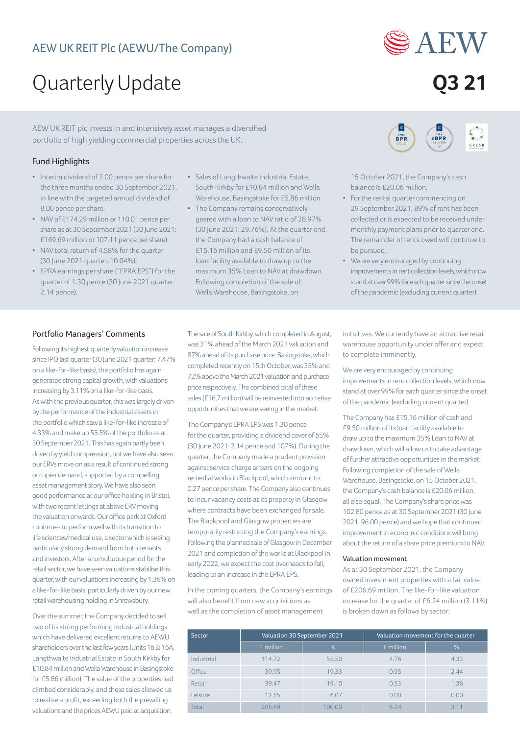

# Quarterly Update **Q3 21**

AEW UK REIT plc invests in and intensively asset manages a diversified portfolio of high yielding commercial properties across the UK.

# Fund Highlights

- Interim dividend of 2.00 pence per share for the three months ended 30 September 2021, in line with the targeted annual dividend of 8.00 pence per share.
- NAV of £174.29 million or 110.01 pence per share as at 30 September 2021 (30 June 2021: £169.69 million or 107.11 pence per share).
- NAV total return of 4.58% for the quarter (30 June 2021 quarter: 10.04%).
- EPRA earnings per share ("EPRA EPS") for the quarter of 1.30 pence (30 June 2021 quarter: 2.14 pence).
- Sales of Langthwaite Industrial Estate, South Kirkby for £10.84 million and Wella Warehouse, Basingstoke for £5.86 million.
- The Company remains conservatively geared with a loan to NAV ratio of 28.97% (30 June 2021: 29.76%). At the quarter end, the Company had a cash balance of £15.16 million and £9.50 million of its loan facility available to draw up to the maximum 35% Loan to NAV at drawdown. Following completion of the sale of Wella Warehouse, Basingstoke, on



15 October 2021, the Company's cash balance is £20.06 million.

- For the rental quarter commencing on 29 September 2021, 89% of rent has been collected or is expected to be received under monthly payment plans prior to quarter end. The remainder of rents owed will continue to be pursued.
- We are very encouraged by continuing improvements in rent collection levels, which now stand at over 99% for each quarter since the onset of the pandemic (excluding current quarter).

## Portfolio Managers' Comments

Following its highest quarterly valuation increase since IPO last quarter (30 June 2021 quarter: 7.47% on a like-for-like basis), the portfolio has again generated strong capital growth, with valuations increasing by 3.11% on a like-for-like basis. As with the previous quarter, this was largely driven by the performance of the industrial assets in the portfolio which saw a like-for-like increase of 4.33% and make up 55.5% of the portfolio as at 30 September 2021. This has again partly been driven by yield compression, but we have also seen our ERVs move on as a result of continued strong occupier demand, supported by a compelling asset management story. We have also seen good performance at our office holding in Bristol, with two recent lettings at above ERV moving the valuation onwards. Our office park at Oxford continues to perform well with its transition to life sciences/medical use, a sector which is seeing particularly strong demand from both tenants and investors. After a tumultuous period for the retail sector, we have seen valuations stabilise this quarter, with our valuations increasing by 1.36% on a like-for-like basis, particularly driven by our new retail warehousing holding in Shrewsbury.

Over the summer, the Company decided to sell two of its strong performing industrial holdings which have delivered excellent returns to AEWU shareholders over the last few years (Units 16 & 16A, Langthwaite Industrial Estate in South Kirkby for £10.84 million and Wella Warehouse in Basingstoke for £5.86 million). The value of the properties had climbed considerably, and these sales allowed us to realise a profit, exceeding both the prevailing valuations and the prices AEWU paid at acquisition.

The sale of South Kirkby, which completed in August, was 31% ahead of the March 2021 valuation and 87% ahead of its purchase price. Basingstoke, which completed recently on 15th October, was 35% and 72% above the March 2021 valuation and purchase price respectively. The combined total of these sales (£16.7 million) will be reinvested into accretive opportunities that we are seeing in the market.

The Company's EPRA EPS was 1.30 pence for the quarter, providing a dividend cover of 65% (30 June 2021: 2.14 pence and 107%). During the quarter, the Company made a prudent provision against service charge arrears on the ongoing remedial works in Blackpool, which amount to 0.27 pence per share. The Company also continues to incur vacancy costs at its property in Glasgow where contracts have been exchanged for sale. The Blackpool and Glasgow properties are temporarily restricting the Company's earnings. Following the planned sale of Glasgow in December 2021 and completion of the works at Blackpool in early 2022, we expect the cost overheads to fall, leading to an increase in the EPRA EPS.

In the coming quarters, the Company's earnings will also benefit from new acquisitions as well as the completion of asset management

initiatives. We currently have an attractive retail warehouse opportunity under offer and expect to complete imminently.

We are very encouraged by continuing improvements in rent collection levels, which now stand at over 99% for each quarter since the onset of the pandemic (excluding current quarter).

The Company has £15.16 million of cash and £9.50 million of its loan facility available to draw up to the maximum 35% Loan to NAV at drawdown, which will allow us to take advantage of further attractive opportunities in the market. Following completion of the sale of Wella Warehouse, Basingstoke, on 15 October 2021, the Company's cash balance is £20.06 million, all else equal. The Company's share price was 102.80 pence as at 30 September 2021 (30 June 2021: 96.00 pence) and we hope that continued improvement in economic conditions will bring about the return of a share price premium to NAV.

## Valuation movement

As at 30 September 2021, the Company owned investment properties with a fair value of £206.69 million. The like-for-like valuation increase for the quarter of £6.24 million (3.11%) is broken down as follows by sector:

| Sector     | Valuation 30 September 2021 |        | Valuation movement for the quarter |      |
|------------|-----------------------------|--------|------------------------------------|------|
|            | £ million                   | %      | £ million                          | %    |
| Industrial | 114.72                      | 55.50  | 4.76                               | 4.33 |
| Office     | 39.95                       | 19.33  | 0.95                               | 2.44 |
| Retail     | 39.47                       | 19.10  | 0.53                               | 1.36 |
| Leisure    | 12.55                       | 6.07   | 0.00                               | 0.00 |
| Total      | 206.69                      | 100.00 | 6.24                               | 311  |